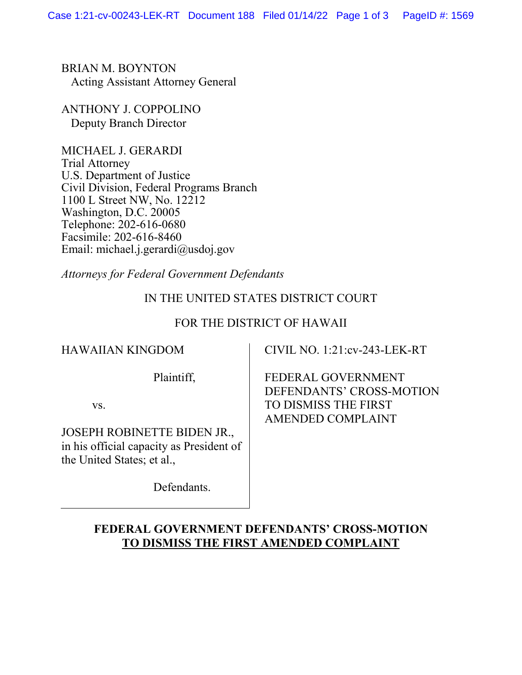BRIAN M. BOYNTON Acting Assistant Attorney General

ANTHONY J. COPPOLINO Deputy Branch Director

MICHAEL J. GERARDI Trial Attorney U.S. Department of Justice Civil Division, Federal Programs Branch 1100 L Street NW, No. 12212 Washington, D.C. 20005 Telephone: 202-616-0680 Facsimile: 202-616-8460 Email: michael.j.gerardi@usdoj.gov

*Attorneys for Federal Government Defendants*

## IN THE UNITED STATES DISTRICT COURT

### FOR THE DISTRICT OF HAWAII

### HAWAIIAN KINGDOM

CIVIL NO. 1:21:cv-243-LEK-RT

Plaintiff,

vs.

JOSEPH ROBINETTE BIDEN JR., in his official capacity as President of the United States; et al.,

Defendants.

FEDERAL GOVERNMENT DEFENDANTS' CROSS-MOTION TO DISMISS THE FIRST AMENDED COMPLAINT

# **FEDERAL GOVERNMENT DEFENDANTS' CROSS-MOTION TO DISMISS THE FIRST AMENDED COMPLAINT**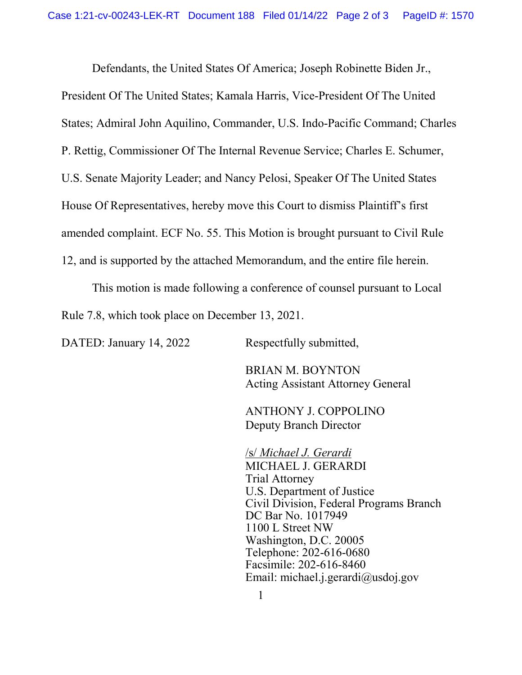Defendants, the United States Of America; Joseph Robinette Biden Jr., President Of The United States; Kamala Harris, Vice-President Of The United States; Admiral John Aquilino, Commander, U.S. Indo-Pacific Command; Charles P. Rettig, Commissioner Of The Internal Revenue Service; Charles E. Schumer, U.S. Senate Majority Leader; and Nancy Pelosi, Speaker Of The United States House Of Representatives, hereby move this Court to dismiss Plaintiff's first amended complaint. ECF No. 55. This Motion is brought pursuant to Civil Rule 12, and is supported by the attached Memorandum, and the entire file herein.

This motion is made following a conference of counsel pursuant to Local Rule 7.8, which took place on December 13, 2021.

DATED: January 14, 2022 Respectfully submitted,

BRIAN M. BOYNTON Acting Assistant Attorney General

ANTHONY J. COPPOLINO Deputy Branch Director

/s/ *Michael J. Gerardi* MICHAEL J. GERARDI Trial Attorney U.S. Department of Justice Civil Division, Federal Programs Branch DC Bar No. 1017949 1100 L Street NW Washington, D.C. 20005 Telephone: 202-616-0680 Facsimile: 202-616-8460 Email: michael.j.gerardi@usdoj.gov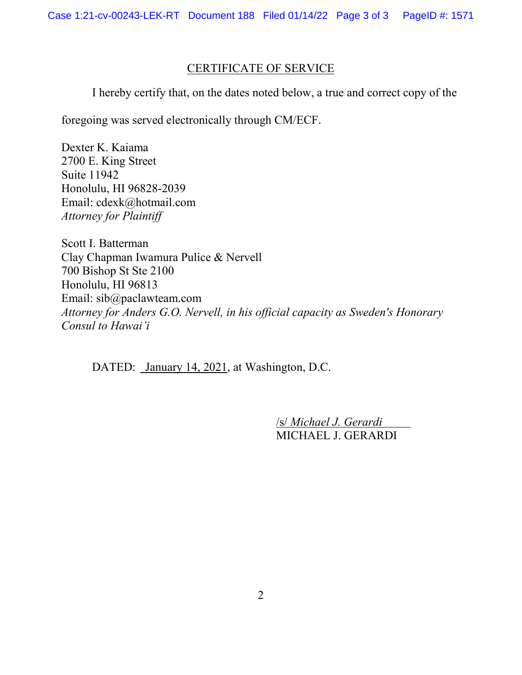### CERTIFICATE OF SERVICE

I hereby certify that, on the dates noted below, a true and correct copy of the

foregoing was served electronically through CM/ECF.

Dexter K. Kaiama 2700 E. King Street Suite 11942 Honolulu, HI 96828-2039 Email: cdexk@hotmail.com *Attorney for Plaintiff*

Scott I. Batterman Clay Chapman Iwamura Pulice & Nervell 700 Bishop St Ste 2100 Honolulu, HI 96813 Email: sib@paclawteam.com *Attorney for Anders G.O. Nervell, in his official capacity as Sweden's Honorary Consul to Hawai'i*

DATED: January 14, 2021, at Washington, D.C.

/s/ *Michael J. Gerardi*  MICHAEL J. GERARDI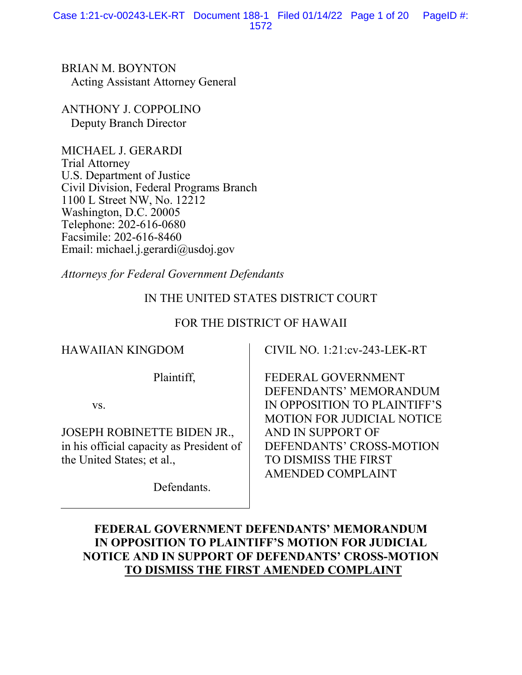BRIAN M. BOYNTON Acting Assistant Attorney General

ANTHONY J. COPPOLINO Deputy Branch Director

MICHAEL J. GERARDI Trial Attorney U.S. Department of Justice Civil Division, Federal Programs Branch 1100 L Street NW, No. 12212 Washington, D.C. 20005 Telephone: 202-616-0680 Facsimile: 202-616-8460 Email: michael.j.gerardi@usdoj.gov

*Attorneys for Federal Government Defendants*

# IN THE UNITED STATES DISTRICT COURT

# FOR THE DISTRICT OF HAWAII

# HAWAIIAN KINGDOM

CIVIL NO. 1:21:cv-243-LEK-RT

Plaintiff,

vs.

JOSEPH ROBINETTE BIDEN JR., in his official capacity as President of the United States; et al.,

Defendants.

FEDERAL GOVERNMENT DEFENDANTS' MEMORANDUM IN OPPOSITION TO PLAINTIFF'S MOTION FOR JUDICIAL NOTICE AND IN SUPPORT OF DEFENDANTS' CROSS-MOTION TO DISMISS THE FIRST AMENDED COMPLAINT

# **FEDERAL GOVERNMENT DEFENDANTS' MEMORANDUM IN OPPOSITION TO PLAINTIFF'S MOTION FOR JUDICIAL NOTICE AND IN SUPPORT OF DEFENDANTS' CROSS-MOTION TO DISMISS THE FIRST AMENDED COMPLAINT**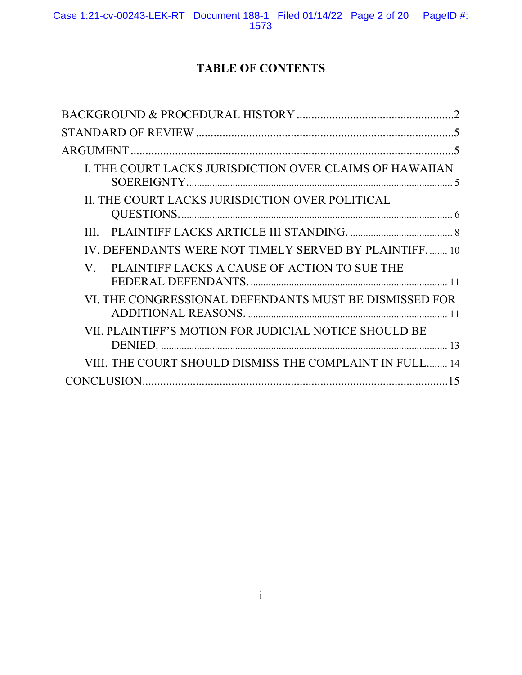# **TABLE OF CONTENTS**

| I. THE COURT LACKS JURISDICTION OVER CLAIMS OF HAWAIIAN |
|---------------------------------------------------------|
| II. THE COURT LACKS JURISDICTION OVER POLITICAL         |
| III                                                     |
| IV. DEFENDANTS WERE NOT TIMELY SERVED BY PLAINTIFF 10   |
| V. PLAINTIFF LACKS A CAUSE OF ACTION TO SUE THE         |
| VI. THE CONGRESSIONAL DEFENDANTS MUST BE DISMISSED FOR  |
| VII. PLAINTIFF'S MOTION FOR JUDICIAL NOTICE SHOULD BE   |
| VIII. THE COURT SHOULD DISMISS THE COMPLAINT IN FULL 14 |
|                                                         |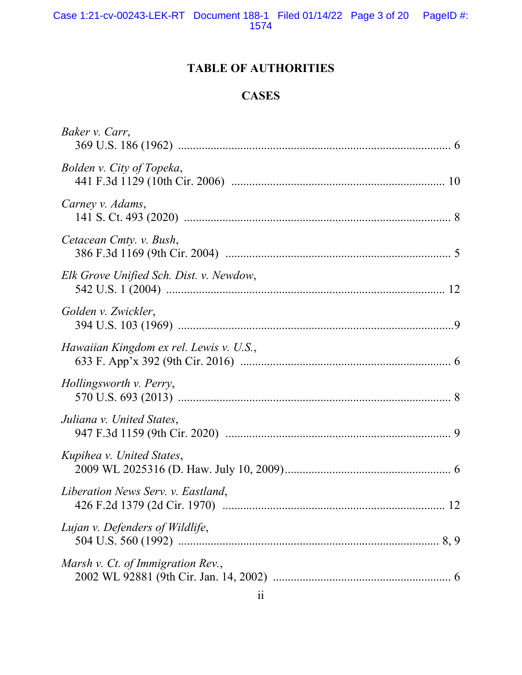# **TABLE OF AUTHORITIES**

# **CASES**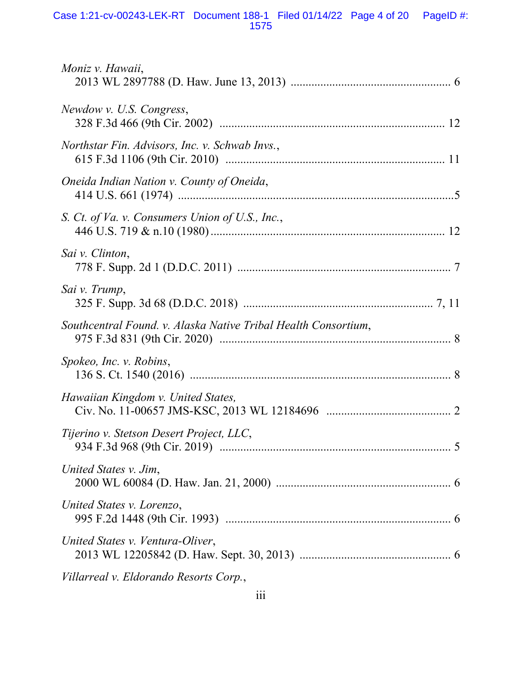#### Case 1:21-cv-00243-LEK-RT Document 188-1 Filed 01/14/22 Page 4 of 20 PageID #: 1575

| Moniz v. Hawaii,                                               |
|----------------------------------------------------------------|
| Newdow v. U.S. Congress,                                       |
| Northstar Fin. Advisors, Inc. v. Schwab Invs.,                 |
| Oneida Indian Nation v. County of Oneida,                      |
| S. Ct. of Va. v. Consumers Union of U.S., Inc.,                |
| Sai v. Clinton,                                                |
| Sai v. Trump,                                                  |
| Southcentral Found. v. Alaska Native Tribal Health Consortium, |
| Spokeo, Inc. v. Robins,                                        |
| Hawaiian Kingdom v. United States,                             |
| Tijerino v. Stetson Desert Project, LLC,                       |
| United States v. Jim,                                          |
| United States v. Lorenzo,                                      |
| United States v. Ventura-Oliver,                               |
| Villarreal v. Eldorando Resorts Corp.,                         |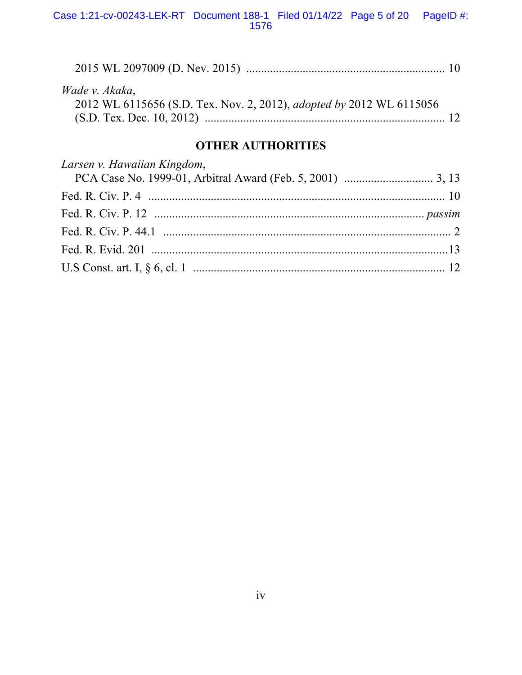| Wade v. Akaka,                                                              |  |
|-----------------------------------------------------------------------------|--|
| 2012 WL 6115656 (S.D. Tex. Nov. 2, 2012), <i>adopted by</i> 2012 WL 6115056 |  |
|                                                                             |  |

# **OTHER AUTHORITIES**

| Larsen v. Hawaiian Kingdom, |  |
|-----------------------------|--|
|                             |  |
|                             |  |
|                             |  |
|                             |  |
|                             |  |
|                             |  |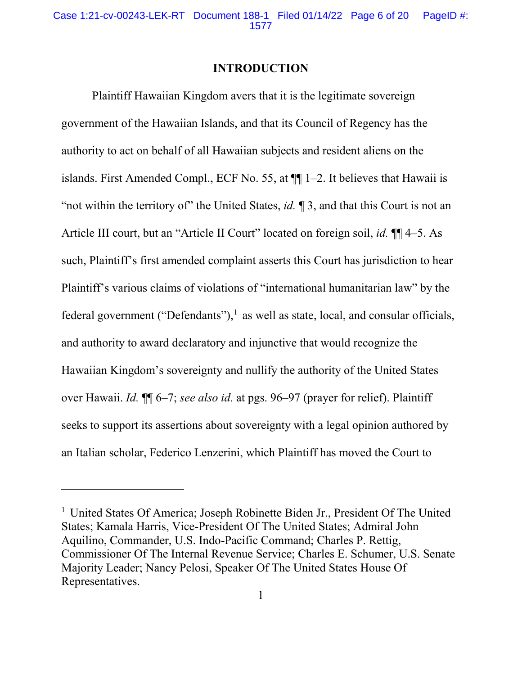### **INTRODUCTION**

Plaintiff Hawaiian Kingdom avers that it is the legitimate sovereign government of the Hawaiian Islands, and that its Council of Regency has the authority to act on behalf of all Hawaiian subjects and resident aliens on the islands. First Amended Compl., ECF No. 55, at ¶¶ 1–2. It believes that Hawaii is "not within the territory of" the United States, *id*. 1 3, and that this Court is not an Article III court, but an "Article II Court" located on foreign soil, *id.* ¶¶ 4–5. As such, Plaintiff's first amended complaint asserts this Court has jurisdiction to hear Plaintiff's various claims of violations of "international humanitarian law" by the federal government ("Defendants"), $<sup>1</sup>$  as well as state, local, and consular officials,</sup> and authority to award declaratory and injunctive that would recognize the Hawaiian Kingdom's sovereignty and nullify the authority of the United States over Hawaii. *Id.* ¶¶ 6–7; *see also id.* at pgs. 96–97 (prayer for relief). Plaintiff seeks to support its assertions about sovereignty with a legal opinion authored by an Italian scholar, Federico Lenzerini, which Plaintiff has moved the Court to

 $\overline{a}$ 

<sup>&</sup>lt;sup>1</sup> United States Of America; Joseph Robinette Biden Jr., President Of The United States; Kamala Harris, Vice-President Of The United States; Admiral John Aquilino, Commander, U.S. Indo-Pacific Command; Charles P. Rettig, Commissioner Of The Internal Revenue Service; Charles E. Schumer, U.S. Senate Majority Leader; Nancy Pelosi, Speaker Of The United States House Of Representatives.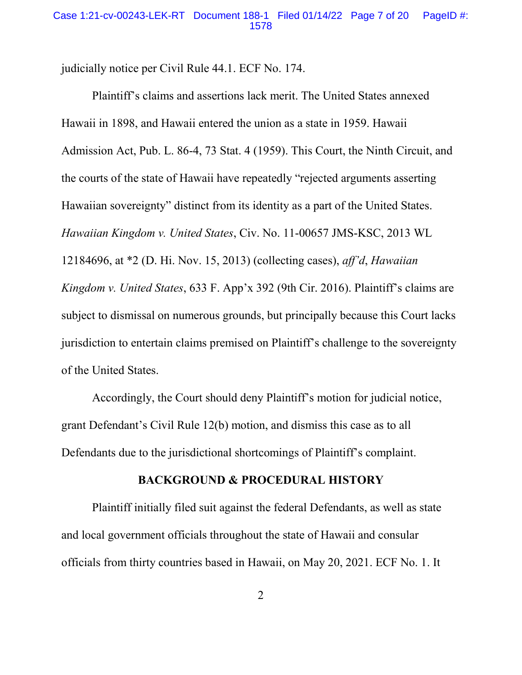judicially notice per Civil Rule 44.1. ECF No. 174.

Plaintiff's claims and assertions lack merit. The United States annexed Hawaii in 1898, and Hawaii entered the union as a state in 1959. Hawaii Admission Act, Pub. L. 86-4, 73 Stat. 4 (1959). This Court, the Ninth Circuit, and the courts of the state of Hawaii have repeatedly "rejected arguments asserting Hawaiian sovereignty" distinct from its identity as a part of the United States. *Hawaiian Kingdom v. United States*, Civ. No. 11-00657 JMS-KSC, 2013 WL 12184696, at \*2 (D. Hi. Nov. 15, 2013) (collecting cases), *aff'd*, *Hawaiian Kingdom v. United States*, 633 F. App'x 392 (9th Cir. 2016). Plaintiff's claims are subject to dismissal on numerous grounds, but principally because this Court lacks jurisdiction to entertain claims premised on Plaintiff's challenge to the sovereignty of the United States.

Accordingly, the Court should deny Plaintiff's motion for judicial notice, grant Defendant's Civil Rule 12(b) motion, and dismiss this case as to all Defendants due to the jurisdictional shortcomings of Plaintiff's complaint.

### **BACKGROUND & PROCEDURAL HISTORY**

Plaintiff initially filed suit against the federal Defendants, as well as state and local government officials throughout the state of Hawaii and consular officials from thirty countries based in Hawaii, on May 20, 2021. ECF No. 1. It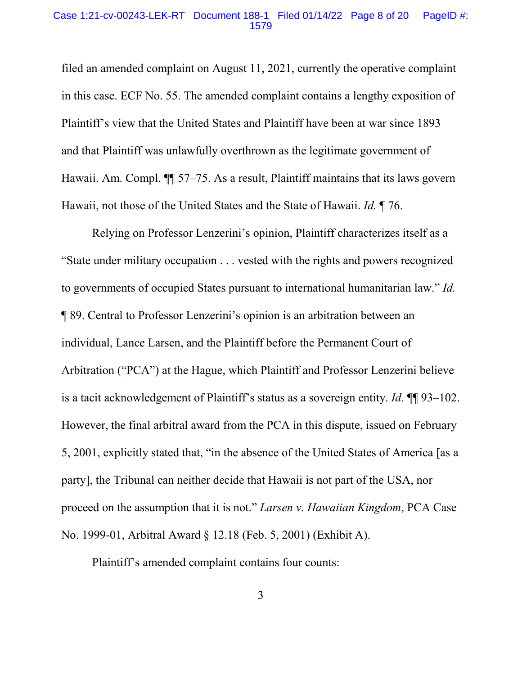#### Case 1:21-cv-00243-LEK-RT Document 188-1 Filed 01/14/22 Page 8 of 20 PageID #: 1579

filed an amended complaint on August 11, 2021, currently the operative complaint in this case. ECF No. 55. The amended complaint contains a lengthy exposition of Plaintiff's view that the United States and Plaintiff have been at war since 1893 and that Plaintiff was unlawfully overthrown as the legitimate government of Hawaii. Am. Compl. ¶¶ 57–75. As a result, Plaintiff maintains that its laws govern Hawaii, not those of the United States and the State of Hawaii. *Id.* ¶ 76.

Relying on Professor Lenzerini's opinion, Plaintiff characterizes itself as a "State under military occupation . . . vested with the rights and powers recognized to governments of occupied States pursuant to international humanitarian law." *Id.* ¶ 89. Central to Professor Lenzerini's opinion is an arbitration between an individual, Lance Larsen, and the Plaintiff before the Permanent Court of Arbitration ("PCA") at the Hague, which Plaintiff and Professor Lenzerini believe is a tacit acknowledgement of Plaintiff's status as a sovereign entity. *Id.* ¶¶ 93–102. However, the final arbitral award from the PCA in this dispute, issued on February 5, 2001, explicitly stated that, "in the absence of the United States of America [as a party], the Tribunal can neither decide that Hawaii is not part of the USA, nor proceed on the assumption that it is not." *Larsen v. Hawaiian Kingdom*, PCA Case No. 1999-01, Arbitral Award § 12.18 (Feb. 5, 2001) (Exhibit A).

Plaintiff's amended complaint contains four counts: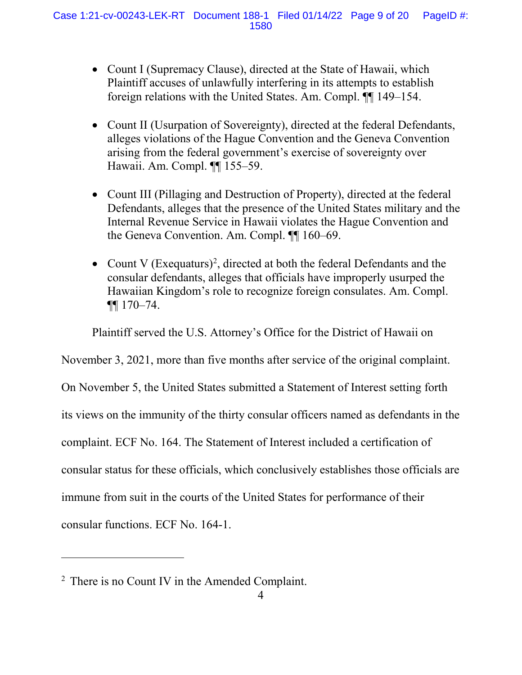- Count I (Supremacy Clause), directed at the State of Hawaii, which Plaintiff accuses of unlawfully interfering in its attempts to establish foreign relations with the United States. Am. Compl. ¶¶ 149–154.
- Count II (Usurpation of Sovereignty), directed at the federal Defendants, alleges violations of the Hague Convention and the Geneva Convention arising from the federal government's exercise of sovereignty over Hawaii. Am. Compl. ¶¶ 155–59.
- Count III (Pillaging and Destruction of Property), directed at the federal Defendants, alleges that the presence of the United States military and the Internal Revenue Service in Hawaii violates the Hague Convention and the Geneva Convention. Am. Compl. ¶¶ 160–69.
- Count V  $(Ex$ equaturs $)^2$ , directed at both the federal Defendants and the consular defendants, alleges that officials have improperly usurped the Hawaiian Kingdom's role to recognize foreign consulates. Am. Compl. ¶¶ 170–74.

Plaintiff served the U.S. Attorney's Office for the District of Hawaii on

November 3, 2021, more than five months after service of the original complaint.

On November 5, the United States submitted a Statement of Interest setting forth

its views on the immunity of the thirty consular officers named as defendants in the

complaint. ECF No. 164. The Statement of Interest included a certification of

consular status for these officials, which conclusively establishes those officials are

immune from suit in the courts of the United States for performance of their

consular functions. ECF No. 164-1.

 $\overline{a}$ 

<sup>2</sup> There is no Count IV in the Amended Complaint.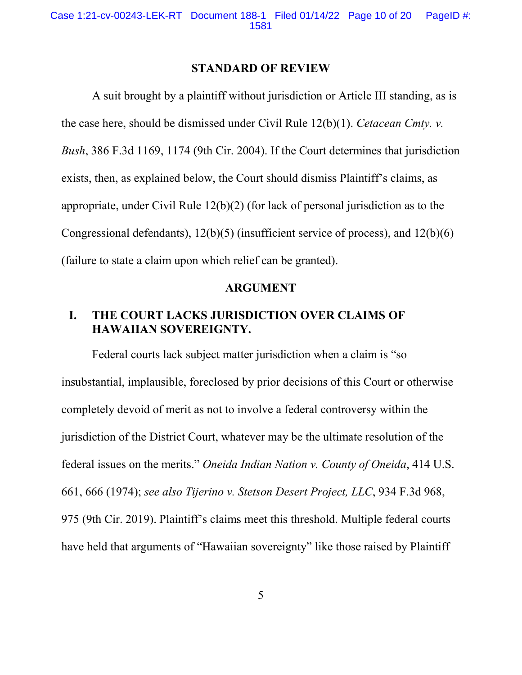#### **STANDARD OF REVIEW**

A suit brought by a plaintiff without jurisdiction or Article III standing, as is the case here, should be dismissed under Civil Rule 12(b)(1). *Cetacean Cmty. v. Bush*, 386 F.3d 1169, 1174 (9th Cir. 2004). If the Court determines that jurisdiction exists, then, as explained below, the Court should dismiss Plaintiff's claims, as appropriate, under Civil Rule 12(b)(2) (for lack of personal jurisdiction as to the Congressional defendants), 12(b)(5) (insufficient service of process), and 12(b)(6) (failure to state a claim upon which relief can be granted).

### **ARGUMENT**

# **I. THE COURT LACKS JURISDICTION OVER CLAIMS OF HAWAIIAN SOVEREIGNTY.**

Federal courts lack subject matter jurisdiction when a claim is "so insubstantial, implausible, foreclosed by prior decisions of this Court or otherwise completely devoid of merit as not to involve a federal controversy within the jurisdiction of the District Court, whatever may be the ultimate resolution of the federal issues on the merits." *Oneida Indian Nation v. County of Oneida*, 414 U.S. 661, 666 (1974); *see also Tijerino v. Stetson Desert Project, LLC*, 934 F.3d 968, 975 (9th Cir. 2019). Plaintiff's claims meet this threshold. Multiple federal courts have held that arguments of "Hawaiian sovereignty" like those raised by Plaintiff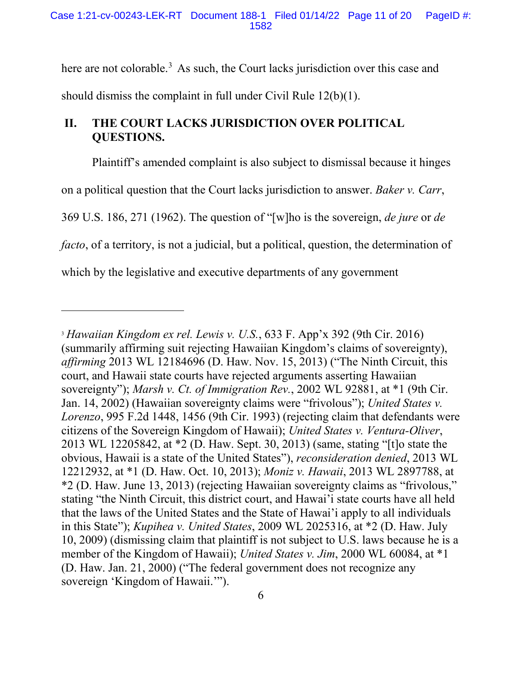here are not colorable.<sup>3</sup> As such, the Court lacks jurisdiction over this case and should dismiss the complaint in full under Civil Rule 12(b)(1).

# **II. THE COURT LACKS JURISDICTION OVER POLITICAL QUESTIONS.**

 $\overline{a}$ 

Plaintiff's amended complaint is also subject to dismissal because it hinges on a political question that the Court lacks jurisdiction to answer. *Baker v. Carr*, 369 U.S. 186, 271 (1962). The question of "[w]ho is the sovereign, *de jure* or *de facto*, of a territory, is not a judicial, but a political, question, the determination of which by the legislative and executive departments of any government

<sup>3</sup> *Hawaiian Kingdom ex rel. Lewis v. U.S.*, 633 F. App'x 392 (9th Cir. 2016) (summarily affirming suit rejecting Hawaiian Kingdom's claims of sovereignty), *affirming* 2013 WL 12184696 (D. Haw. Nov. 15, 2013) ("The Ninth Circuit, this court, and Hawaii state courts have rejected arguments asserting Hawaiian sovereignty"); *Marsh v. Ct. of Immigration Rev.*, 2002 WL 92881, at \*1 (9th Cir. Jan. 14, 2002) (Hawaiian sovereignty claims were "frivolous"); *United States v. Lorenzo*, 995 F.2d 1448, 1456 (9th Cir. 1993) (rejecting claim that defendants were citizens of the Sovereign Kingdom of Hawaii); *United States v. Ventura-Oliver*, 2013 WL 12205842, at \*2 (D. Haw. Sept. 30, 2013) (same, stating "[t]o state the obvious, Hawaii is a state of the United States"), *reconsideration denied*, 2013 WL 12212932, at \*1 (D. Haw. Oct. 10, 2013); *Moniz v. Hawaii*, 2013 WL 2897788, at \*2 (D. Haw. June 13, 2013) (rejecting Hawaiian sovereignty claims as "frivolous," stating "the Ninth Circuit, this district court, and Hawai'i state courts have all held that the laws of the United States and the State of Hawai'i apply to all individuals in this State"); *Kupihea v. United States*, 2009 WL 2025316, at \*2 (D. Haw. July 10, 2009) (dismissing claim that plaintiff is not subject to U.S. laws because he is a member of the Kingdom of Hawaii); *United States v. Jim*, 2000 WL 60084, at \*1 (D. Haw. Jan. 21, 2000) ("The federal government does not recognize any sovereign 'Kingdom of Hawaii.'").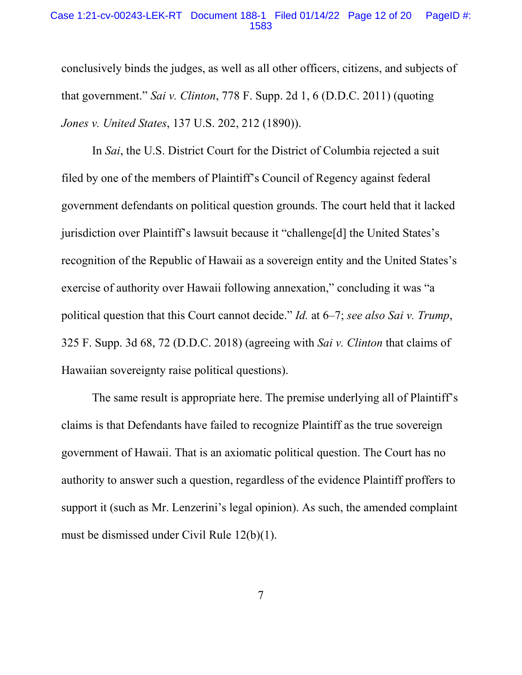#### Case 1:21-cv-00243-LEK-RT Document 188-1 Filed 01/14/22 Page 12 of 20 PageID #: 1583

conclusively binds the judges, as well as all other officers, citizens, and subjects of that government." *Sai v. Clinton*, 778 F. Supp. 2d 1, 6 (D.D.C. 2011) (quoting *Jones v. United States*, 137 U.S. 202, 212 (1890)).

In *Sai*, the U.S. District Court for the District of Columbia rejected a suit filed by one of the members of Plaintiff's Council of Regency against federal government defendants on political question grounds. The court held that it lacked jurisdiction over Plaintiff's lawsuit because it "challenge[d] the United States's recognition of the Republic of Hawaii as a sovereign entity and the United States's exercise of authority over Hawaii following annexation," concluding it was "a political question that this Court cannot decide." *Id.* at 6–7; *see also Sai v. Trump*, 325 F. Supp. 3d 68, 72 (D.D.C. 2018) (agreeing with *Sai v. Clinton* that claims of Hawaiian sovereignty raise political questions).

The same result is appropriate here. The premise underlying all of Plaintiff's claims is that Defendants have failed to recognize Plaintiff as the true sovereign government of Hawaii. That is an axiomatic political question. The Court has no authority to answer such a question, regardless of the evidence Plaintiff proffers to support it (such as Mr. Lenzerini's legal opinion). As such, the amended complaint must be dismissed under Civil Rule 12(b)(1).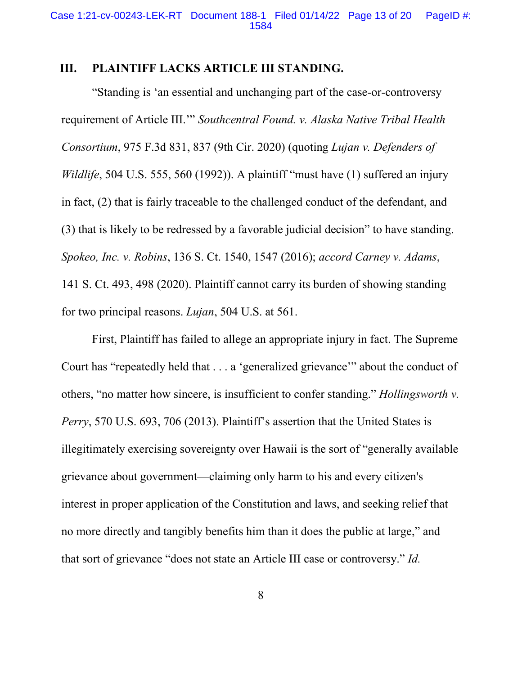# **III. PLAINTIFF LACKS ARTICLE III STANDING.**

"Standing is 'an essential and unchanging part of the case-or-controversy requirement of Article III.'" *Southcentral Found. v. Alaska Native Tribal Health Consortium*, 975 F.3d 831, 837 (9th Cir. 2020) (quoting *Lujan v. Defenders of Wildlife*, 504 U.S. 555, 560 (1992)). A plaintiff "must have (1) suffered an injury in fact, (2) that is fairly traceable to the challenged conduct of the defendant, and (3) that is likely to be redressed by a favorable judicial decision" to have standing. *Spokeo, Inc. v. Robins*, 136 S. Ct. 1540, 1547 (2016); *accord Carney v. Adams*, 141 S. Ct. 493, 498 (2020). Plaintiff cannot carry its burden of showing standing for two principal reasons. *Lujan*, 504 U.S. at 561.

First, Plaintiff has failed to allege an appropriate injury in fact. The Supreme Court has "repeatedly held that . . . a 'generalized grievance'" about the conduct of others, "no matter how sincere, is insufficient to confer standing." *Hollingsworth v. Perry*, 570 U.S. 693, 706 (2013). Plaintiff's assertion that the United States is illegitimately exercising sovereignty over Hawaii is the sort of "generally available grievance about government—claiming only harm to his and every citizen's interest in proper application of the Constitution and laws, and seeking relief that no more directly and tangibly benefits him than it does the public at large," and that sort of grievance "does not state an Article III case or controversy." *Id.*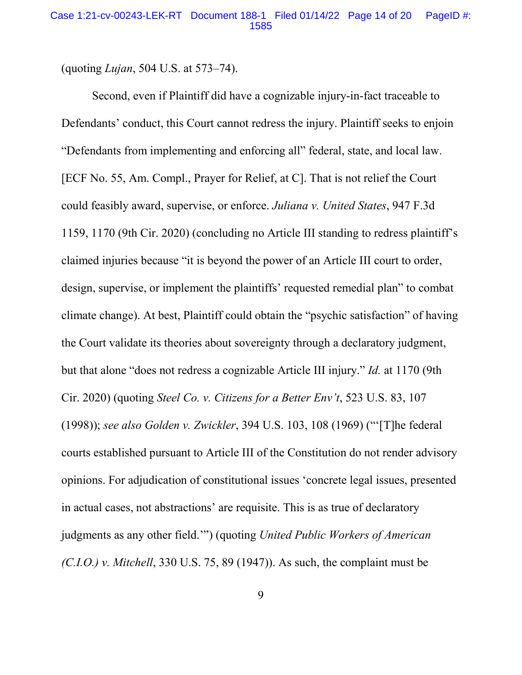(quoting *Lujan*, 504 U.S. at 573–74).

Second, even if Plaintiff did have a cognizable injury-in-fact traceable to Defendants' conduct, this Court cannot redress the injury. Plaintiff seeks to enjoin "Defendants from implementing and enforcing all" federal, state, and local law. [ECF No. 55, Am. Compl., Prayer for Relief, at C]. That is not relief the Court could feasibly award, supervise, or enforce. *Juliana v. United States*, 947 F.3d 1159, 1170 (9th Cir. 2020) (concluding no Article III standing to redress plaintiff's claimed injuries because "it is beyond the power of an Article III court to order, design, supervise, or implement the plaintiffs' requested remedial plan" to combat climate change). At best, Plaintiff could obtain the "psychic satisfaction" of having the Court validate its theories about sovereignty through a declaratory judgment, but that alone "does not redress a cognizable Article III injury." *Id.* at 1170 (9th Cir. 2020) (quoting *Steel Co. v. Citizens for a Better Env't*, 523 U.S. 83, 107 (1998)); *see also Golden v. Zwickler*, 394 U.S. 103, 108 (1969) ("'[T]he federal courts established pursuant to Article III of the Constitution do not render advisory opinions. For adjudication of constitutional issues 'concrete legal issues, presented in actual cases, not abstractions' are requisite. This is as true of declaratory judgments as any other field.'") (quoting *United Public Workers of American (C.I.O.) v. Mitchell*, 330 U.S. 75, 89 (1947)). As such, the complaint must be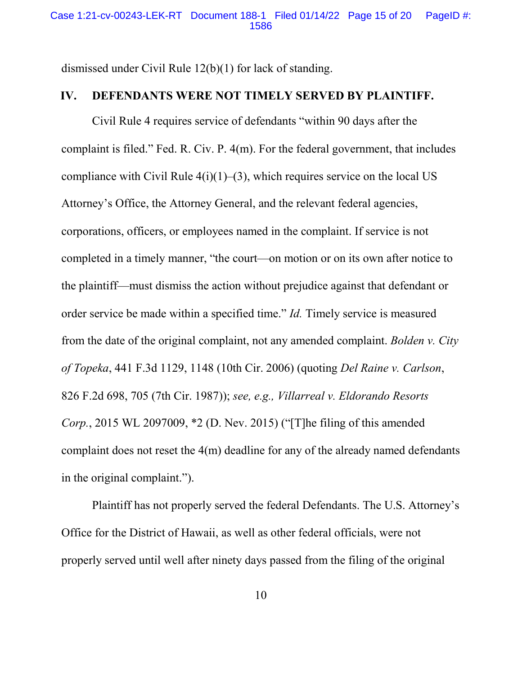dismissed under Civil Rule 12(b)(1) for lack of standing.

### **IV. DEFENDANTS WERE NOT TIMELY SERVED BY PLAINTIFF.**

Civil Rule 4 requires service of defendants "within 90 days after the complaint is filed." Fed. R. Civ. P. 4(m). For the federal government, that includes compliance with Civil Rule  $4(i)(1)–(3)$ , which requires service on the local US Attorney's Office, the Attorney General, and the relevant federal agencies, corporations, officers, or employees named in the complaint. If service is not completed in a timely manner, "the court—on motion or on its own after notice to the plaintiff—must dismiss the action without prejudice against that defendant or order service be made within a specified time." *Id.* Timely service is measured from the date of the original complaint, not any amended complaint. *Bolden v. City of Topeka*, 441 F.3d 1129, 1148 (10th Cir. 2006) (quoting *Del Raine v. Carlson*, 826 F.2d 698, 705 (7th Cir. 1987)); *see, e.g., Villarreal v. Eldorando Resorts Corp.*, 2015 WL 2097009, \*2 (D. Nev. 2015) ("[T]he filing of this amended complaint does not reset the 4(m) deadline for any of the already named defendants in the original complaint.").

Plaintiff has not properly served the federal Defendants. The U.S. Attorney's Office for the District of Hawaii, as well as other federal officials, were not properly served until well after ninety days passed from the filing of the original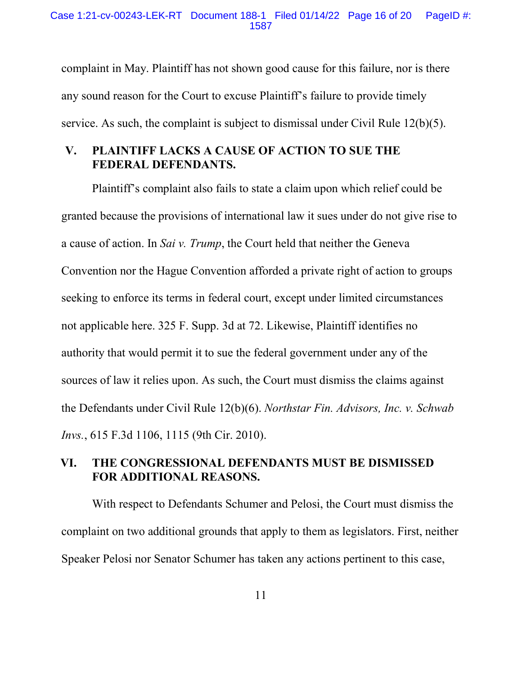Case 1:21-cv-00243-LEK-RT Document 188-1 Filed 01/14/22 Page 16 of 20 PageID #: 1587

complaint in May. Plaintiff has not shown good cause for this failure, nor is there any sound reason for the Court to excuse Plaintiff's failure to provide timely service. As such, the complaint is subject to dismissal under Civil Rule 12(b)(5).

# **V. PLAINTIFF LACKS A CAUSE OF ACTION TO SUE THE FEDERAL DEFENDANTS.**

Plaintiff's complaint also fails to state a claim upon which relief could be granted because the provisions of international law it sues under do not give rise to a cause of action. In *Sai v. Trump*, the Court held that neither the Geneva Convention nor the Hague Convention afforded a private right of action to groups seeking to enforce its terms in federal court, except under limited circumstances not applicable here. 325 F. Supp. 3d at 72. Likewise, Plaintiff identifies no authority that would permit it to sue the federal government under any of the sources of law it relies upon. As such, the Court must dismiss the claims against the Defendants under Civil Rule 12(b)(6). *Northstar Fin. Advisors, Inc. v. Schwab Invs.*, 615 F.3d 1106, 1115 (9th Cir. 2010).

# **VI. THE CONGRESSIONAL DEFENDANTS MUST BE DISMISSED FOR ADDITIONAL REASONS.**

With respect to Defendants Schumer and Pelosi, the Court must dismiss the complaint on two additional grounds that apply to them as legislators. First, neither Speaker Pelosi nor Senator Schumer has taken any actions pertinent to this case,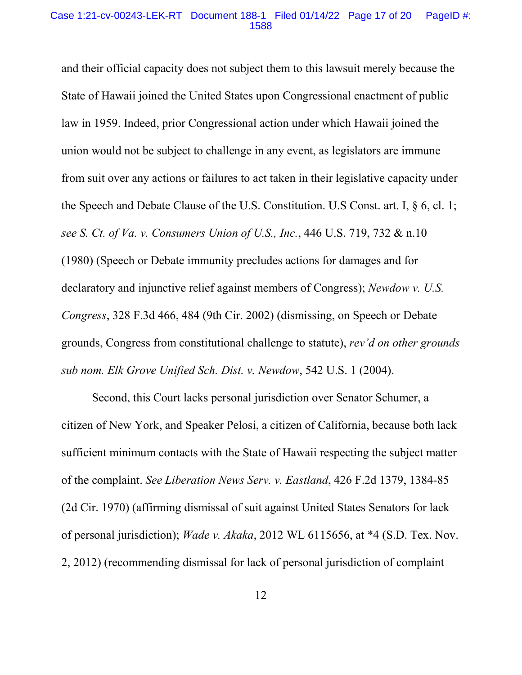#### Case 1:21-cv-00243-LEK-RT Document 188-1 Filed 01/14/22 Page 17 of 20 PageID #: 1588

and their official capacity does not subject them to this lawsuit merely because the State of Hawaii joined the United States upon Congressional enactment of public law in 1959. Indeed, prior Congressional action under which Hawaii joined the union would not be subject to challenge in any event, as legislators are immune from suit over any actions or failures to act taken in their legislative capacity under the Speech and Debate Clause of the U.S. Constitution. U.S Const. art. I, § 6, cl. 1; *see S. Ct. of Va. v. Consumers Union of U.S., Inc.*, 446 U.S. 719, 732 & n.10 (1980) (Speech or Debate immunity precludes actions for damages and for declaratory and injunctive relief against members of Congress); *Newdow v. U.S. Congress*, 328 F.3d 466, 484 (9th Cir. 2002) (dismissing, on Speech or Debate grounds, Congress from constitutional challenge to statute), *rev'd on other grounds sub nom. Elk Grove Unified Sch. Dist. v. Newdow*, 542 U.S. 1 (2004).

Second, this Court lacks personal jurisdiction over Senator Schumer, a citizen of New York, and Speaker Pelosi, a citizen of California, because both lack sufficient minimum contacts with the State of Hawaii respecting the subject matter of the complaint. *See Liberation News Serv. v. Eastland*, 426 F.2d 1379, 1384-85 (2d Cir. 1970) (affirming dismissal of suit against United States Senators for lack of personal jurisdiction); *Wade v. Akaka*, 2012 WL 6115656, at \*4 (S.D. Tex. Nov. 2, 2012) (recommending dismissal for lack of personal jurisdiction of complaint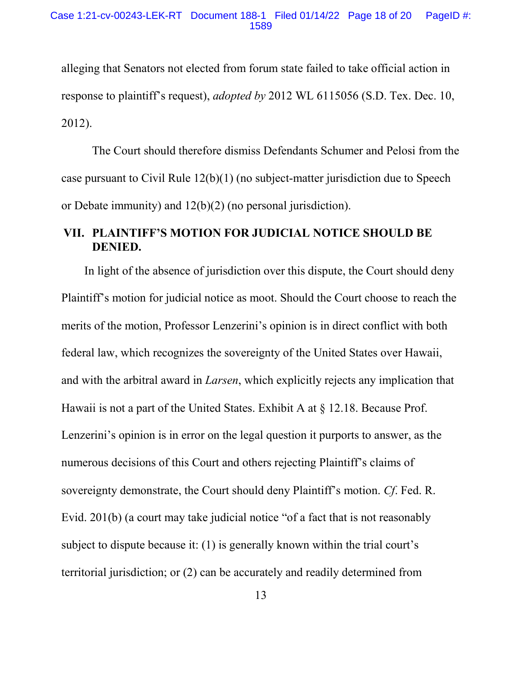alleging that Senators not elected from forum state failed to take official action in response to plaintiff's request), *adopted by* 2012 WL 6115056 (S.D. Tex. Dec. 10, 2012).

The Court should therefore dismiss Defendants Schumer and Pelosi from the case pursuant to Civil Rule 12(b)(1) (no subject-matter jurisdiction due to Speech or Debate immunity) and 12(b)(2) (no personal jurisdiction).

# **VII. PLAINTIFF'S MOTION FOR JUDICIAL NOTICE SHOULD BE DENIED.**

In light of the absence of jurisdiction over this dispute, the Court should deny Plaintiff's motion for judicial notice as moot. Should the Court choose to reach the merits of the motion, Professor Lenzerini's opinion is in direct conflict with both federal law, which recognizes the sovereignty of the United States over Hawaii, and with the arbitral award in *Larsen*, which explicitly rejects any implication that Hawaii is not a part of the United States. Exhibit A at § 12.18. Because Prof. Lenzerini's opinion is in error on the legal question it purports to answer, as the numerous decisions of this Court and others rejecting Plaintiff's claims of sovereignty demonstrate, the Court should deny Plaintiff's motion. *Cf*. Fed. R. Evid. 201(b) (a court may take judicial notice "of a fact that is not reasonably subject to dispute because it: (1) is generally known within the trial court's territorial jurisdiction; or (2) can be accurately and readily determined from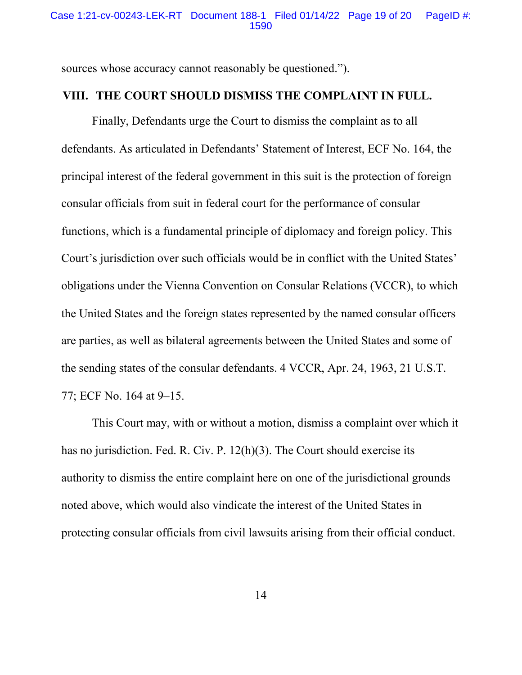sources whose accuracy cannot reasonably be questioned.").

### **VIII. THE COURT SHOULD DISMISS THE COMPLAINT IN FULL.**

Finally, Defendants urge the Court to dismiss the complaint as to all defendants. As articulated in Defendants' Statement of Interest, ECF No. 164, the principal interest of the federal government in this suit is the protection of foreign consular officials from suit in federal court for the performance of consular functions, which is a fundamental principle of diplomacy and foreign policy. This Court's jurisdiction over such officials would be in conflict with the United States' obligations under the Vienna Convention on Consular Relations (VCCR), to which the United States and the foreign states represented by the named consular officers are parties, as well as bilateral agreements between the United States and some of the sending states of the consular defendants. 4 VCCR, Apr. 24, 1963, 21 U.S.T. 77; ECF No. 164 at 9–15.

This Court may, with or without a motion, dismiss a complaint over which it has no jurisdiction. Fed. R. Civ. P. 12(h)(3). The Court should exercise its authority to dismiss the entire complaint here on one of the jurisdictional grounds noted above, which would also vindicate the interest of the United States in protecting consular officials from civil lawsuits arising from their official conduct.